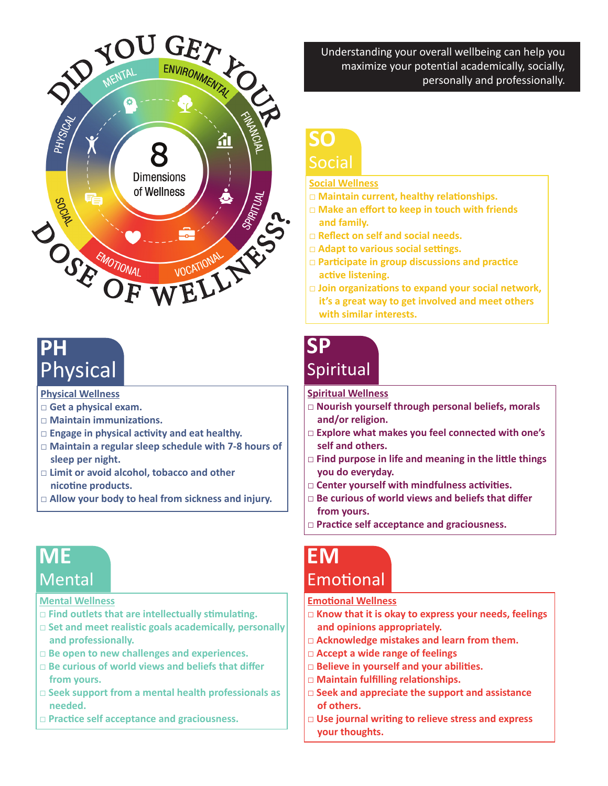

# **PH** Physical

**Physical Wellness**

- **□ Get a physical exam.**
- **□ Maintain immunizations.**
- **□ Engage in physical activity and eat healthy.**
- **□ Maintain a regular sleep schedule with 7-8 hours of sleep per night.**
- **□ Limit or avoid alcohol, tobacco and other nicotine products.**
- **□ Allow your body to heal from sickness and injury.**

### **ME Mental**

#### **Mental Wellness**

- **□ Find outlets that are intellectually stimulating.**
- **□ Set and meet realistic goals academically, personally and professionally.**
- **□ Be open to new challenges and experiences.**
- **□ Be curious of world views and beliefs that differ from yours.**
- **□ Seek support from a mental health professionals as needed.**
- **□ Practice self acceptance and graciousness.**

Understanding your overall wellbeing can help you maximize your potential academically, socially, personally and professionally.

## **SO** Social

#### **Social Wellness**

- **□ Maintain current, healthy relationships.**
- **□ Make an effort to keep in touch with friends and family.**
- **□ Reflect on self and social needs.**
- **□ Adapt to various social settings.**
- **□ Participate in group discussions and practice active listening.**
- **□ Join organizations to expand your social network, it's a great way to get involved and meet others with similar interests.**

### **SP Spiritual**

#### **Spiritual Wellness**

- **□ Nourish yourself through personal beliefs, morals and/or religion.**
- **□ Explore what makes you feel connected with one's self and others.**
- **□ Find purpose in life and meaning in the little things you do everyday.**
- **□ Center yourself with mindfulness activities.**
- **□ Be curious of world views and beliefs that differ from yours.**
- **□ Practice self acceptance and graciousness.**

### **EM** Emotional

#### **Emotional Wellness**

- **□ Know that it is okay to express your needs, feelings and opinions appropriately.**
- **□ Acknowledge mistakes and learn from them.**
- **□ Accept a wide range of feelings**
- **□ Believe in yourself and your abilities.**
- **□ Maintain fulfilling relationships.**
- **□ Seek and appreciate the support and assistance of others.**
- **□ Use journal writing to relieve stress and express your thoughts.**